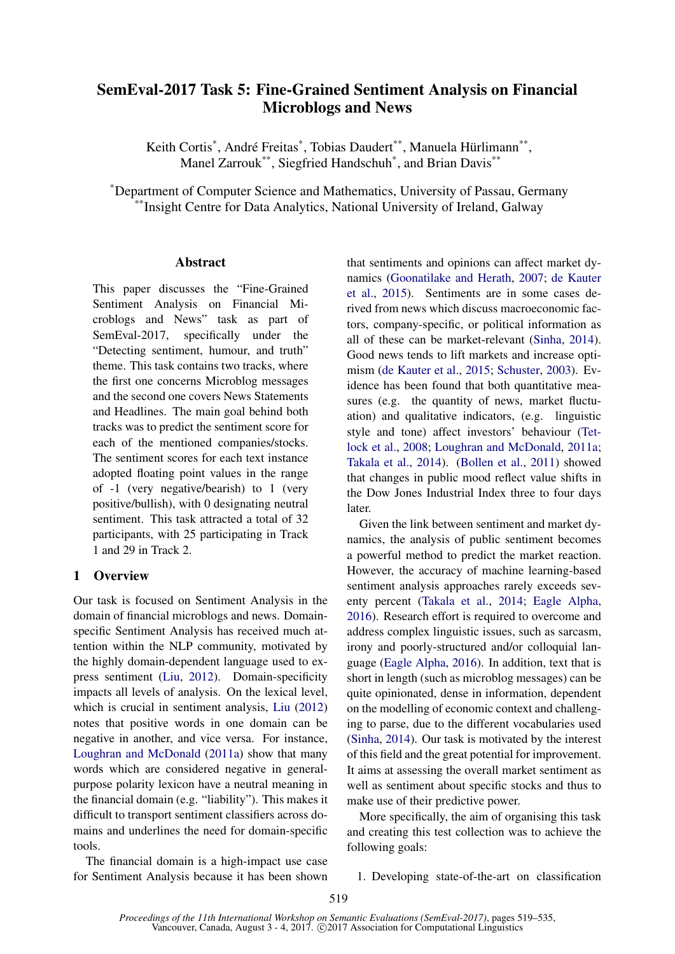# SemEval-2017 Task 5: Fine-Grained Sentiment Analysis on Financial Microblogs and News

Keith Cortis<sup>\*</sup>, André Freitas<sup>\*</sup>, Tobias Daudert<sup>\*\*</sup>, Manuela Hürlimann<sup>\*\*</sup>, Manel Zarrouk\*\*, Siegfried Handschuh\* , and Brian Davis\*\*

\*Department of Computer Science and Mathematics, University of Passau, Germany \*Insight Centre for Data Analytics, National University of Ireland, Galway

## Abstract

This paper discusses the "Fine-Grained Sentiment Analysis on Financial Microblogs and News" task as part of SemEval-2017, specifically under the "Detecting sentiment, humour, and truth" theme. This task contains two tracks, where the first one concerns Microblog messages and the second one covers News Statements and Headlines. The main goal behind both tracks was to predict the sentiment score for each of the mentioned companies/stocks. The sentiment scores for each text instance adopted floating point values in the range of -1 (very negative/bearish) to 1 (very positive/bullish), with 0 designating neutral sentiment. This task attracted a total of 32 participants, with 25 participating in Track 1 and 29 in Track 2.

## 1 Overview

Our task is focused on Sentiment Analysis in the domain of financial microblogs and news. Domainspecific Sentiment Analysis has received much attention within the NLP community, motivated by the highly domain-dependent language used to express sentiment (Liu, 2012). Domain-specificity impacts all levels of analysis. On the lexical level, which is crucial in sentiment analysis, Liu (2012) notes that positive words in one domain can be negative in another, and vice versa. For instance, Loughran and McDonald (2011a) show that many words which are considered negative in generalpurpose polarity lexicon have a neutral meaning in the financial domain (e.g. "liability"). This makes it difficult to transport sentiment classifiers across domains and underlines the need for domain-specific tools.

The financial domain is a high-impact use case for Sentiment Analysis because it has been shown that sentiments and opinions can affect market dynamics (Goonatilake and Herath, 2007; de Kauter et al., 2015). Sentiments are in some cases derived from news which discuss macroeconomic factors, company-specific, or political information as all of these can be market-relevant (Sinha, 2014). Good news tends to lift markets and increase optimism (de Kauter et al., 2015; Schuster, 2003). Evidence has been found that both quantitative measures (e.g. the quantity of news, market fluctuation) and qualitative indicators, (e.g. linguistic style and tone) affect investors' behaviour (Tetlock et al., 2008; Loughran and McDonald, 2011a; Takala et al., 2014). (Bollen et al., 2011) showed that changes in public mood reflect value shifts in the Dow Jones Industrial Index three to four days later.

Given the link between sentiment and market dynamics, the analysis of public sentiment becomes a powerful method to predict the market reaction. However, the accuracy of machine learning-based sentiment analysis approaches rarely exceeds seventy percent (Takala et al., 2014; Eagle Alpha, 2016). Research effort is required to overcome and address complex linguistic issues, such as sarcasm, irony and poorly-structured and/or colloquial language (Eagle Alpha, 2016). In addition, text that is short in length (such as microblog messages) can be quite opinionated, dense in information, dependent on the modelling of economic context and challenging to parse, due to the different vocabularies used (Sinha, 2014). Our task is motivated by the interest of this field and the great potential for improvement. It aims at assessing the overall market sentiment as well as sentiment about specific stocks and thus to make use of their predictive power.

More specifically, the aim of organising this task and creating this test collection was to achieve the following goals:

1. Developing state-of-the-art on classification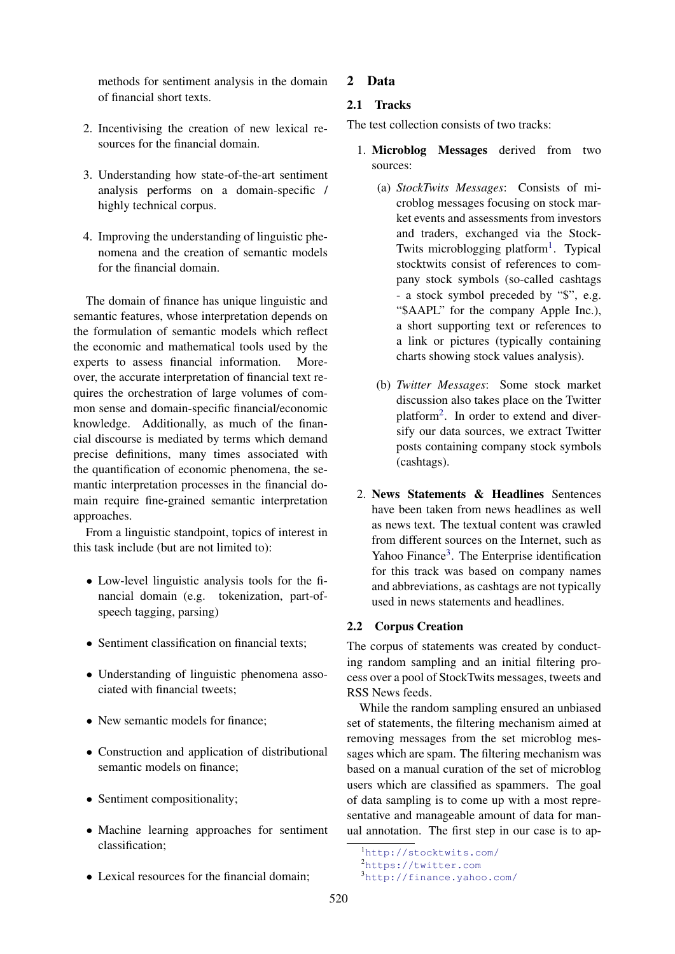methods for sentiment analysis in the domain of financial short texts.

- 2. Incentivising the creation of new lexical resources for the financial domain.
- 3. Understanding how state-of-the-art sentiment analysis performs on a domain-specific / highly technical corpus.
- 4. Improving the understanding of linguistic phenomena and the creation of semantic models for the financial domain.

The domain of finance has unique linguistic and semantic features, whose interpretation depends on the formulation of semantic models which reflect the economic and mathematical tools used by the experts to assess financial information. Moreover, the accurate interpretation of financial text requires the orchestration of large volumes of common sense and domain-specific financial/economic knowledge. Additionally, as much of the financial discourse is mediated by terms which demand precise definitions, many times associated with the quantification of economic phenomena, the semantic interpretation processes in the financial domain require fine-grained semantic interpretation approaches.

From a linguistic standpoint, topics of interest in this task include (but are not limited to):

- Low-level linguistic analysis tools for the financial domain (e.g. tokenization, part-ofspeech tagging, parsing)
- Sentiment classification on financial texts:
- Understanding of linguistic phenomena associated with financial tweets;
- New semantic models for finance:
- Construction and application of distributional semantic models on finance;
- Sentiment compositionality;
- Machine learning approaches for sentiment classification;
- Lexical resources for the financial domain:

# 2 Data

# 2.1 Tracks

The test collection consists of two tracks:

- 1. Microblog Messages derived from two sources:
	- (a) *StockTwits Messages*: Consists of microblog messages focusing on stock market events and assessments from investors and traders, exchanged via the Stock-Twits microblogging platform<sup>1</sup>. Typical stocktwits consist of references to company stock symbols (so-called cashtags - a stock symbol preceded by "\$", e.g. "\$AAPL" for the company Apple Inc.), a short supporting text or references to a link or pictures (typically containing charts showing stock values analysis).
	- (b) *Twitter Messages*: Some stock market discussion also takes place on the Twitter platform<sup>2</sup> . In order to extend and diversify our data sources, we extract Twitter posts containing company stock symbols (cashtags).
- 2. News Statements & Headlines Sentences have been taken from news headlines as well as news text. The textual content was crawled from different sources on the Internet, such as Yahoo Finance<sup>3</sup>. The Enterprise identification for this track was based on company names and abbreviations, as cashtags are not typically used in news statements and headlines.

# 2.2 Corpus Creation

The corpus of statements was created by conducting random sampling and an initial filtering process over a pool of StockTwits messages, tweets and RSS News feeds.

While the random sampling ensured an unbiased set of statements, the filtering mechanism aimed at removing messages from the set microblog messages which are spam. The filtering mechanism was based on a manual curation of the set of microblog users which are classified as spammers. The goal of data sampling is to come up with a most representative and manageable amount of data for manual annotation. The first step in our case is to ap-

<sup>1</sup>http://stocktwits.com/

<sup>2</sup>https://twitter.com

<sup>3</sup>http://finance.yahoo.com/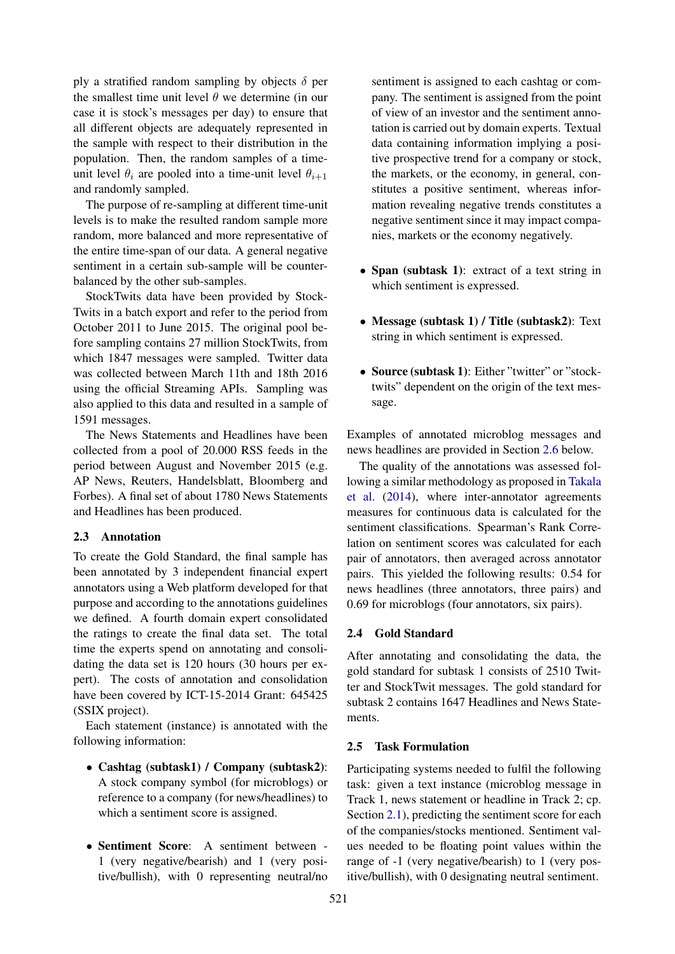ply a stratified random sampling by objects  $\delta$  per the smallest time unit level  $\theta$  we determine (in our case it is stock's messages per day) to ensure that all different objects are adequately represented in the sample with respect to their distribution in the population. Then, the random samples of a timeunit level  $\theta_i$  are pooled into a time-unit level  $\theta_{i+1}$ and randomly sampled.

The purpose of re-sampling at different time-unit levels is to make the resulted random sample more random, more balanced and more representative of the entire time-span of our data. A general negative sentiment in a certain sub-sample will be counterbalanced by the other sub-samples.

StockTwits data have been provided by Stock-Twits in a batch export and refer to the period from October 2011 to June 2015. The original pool before sampling contains 27 million StockTwits, from which 1847 messages were sampled. Twitter data was collected between March 11th and 18th 2016 using the official Streaming APIs. Sampling was also applied to this data and resulted in a sample of 1591 messages.

The News Statements and Headlines have been collected from a pool of 20.000 RSS feeds in the period between August and November 2015 (e.g. AP News, Reuters, Handelsblatt, Bloomberg and Forbes). A final set of about 1780 News Statements and Headlines has been produced.

#### 2.3 Annotation

To create the Gold Standard, the final sample has been annotated by 3 independent financial expert annotators using a Web platform developed for that purpose and according to the annotations guidelines we defined. A fourth domain expert consolidated the ratings to create the final data set. The total time the experts spend on annotating and consolidating the data set is 120 hours (30 hours per expert). The costs of annotation and consolidation have been covered by ICT-15-2014 Grant: 645425 (SSIX project).

Each statement (instance) is annotated with the following information:

- Cashtag (subtask1) / Company (subtask2): A stock company symbol (for microblogs) or reference to a company (for news/headlines) to which a sentiment score is assigned.
- Sentiment Score: A sentiment between 1 (very negative/bearish) and 1 (very positive/bullish), with 0 representing neutral/no

sentiment is assigned to each cashtag or company. The sentiment is assigned from the point of view of an investor and the sentiment annotation is carried out by domain experts. Textual data containing information implying a positive prospective trend for a company or stock, the markets, or the economy, in general, constitutes a positive sentiment, whereas information revealing negative trends constitutes a negative sentiment since it may impact companies, markets or the economy negatively.

- Span (subtask 1): extract of a text string in which sentiment is expressed.
- Message (subtask 1) / Title (subtask2): Text string in which sentiment is expressed.
- Source (subtask 1): Either "twitter" or "stocktwits" dependent on the origin of the text message.

Examples of annotated microblog messages and news headlines are provided in Section 2.6 below.

The quality of the annotations was assessed following a similar methodology as proposed in Takala et al. (2014), where inter-annotator agreements measures for continuous data is calculated for the sentiment classifications. Spearman's Rank Correlation on sentiment scores was calculated for each pair of annotators, then averaged across annotator pairs. This yielded the following results: 0.54 for news headlines (three annotators, three pairs) and 0.69 for microblogs (four annotators, six pairs).

## 2.4 Gold Standard

After annotating and consolidating the data, the gold standard for subtask 1 consists of 2510 Twitter and StockTwit messages. The gold standard for subtask 2 contains 1647 Headlines and News Statements.

#### 2.5 Task Formulation

Participating systems needed to fulfil the following task: given a text instance (microblog message in Track 1, news statement or headline in Track 2; cp. Section 2.1), predicting the sentiment score for each of the companies/stocks mentioned. Sentiment values needed to be floating point values within the range of -1 (very negative/bearish) to 1 (very positive/bullish), with 0 designating neutral sentiment.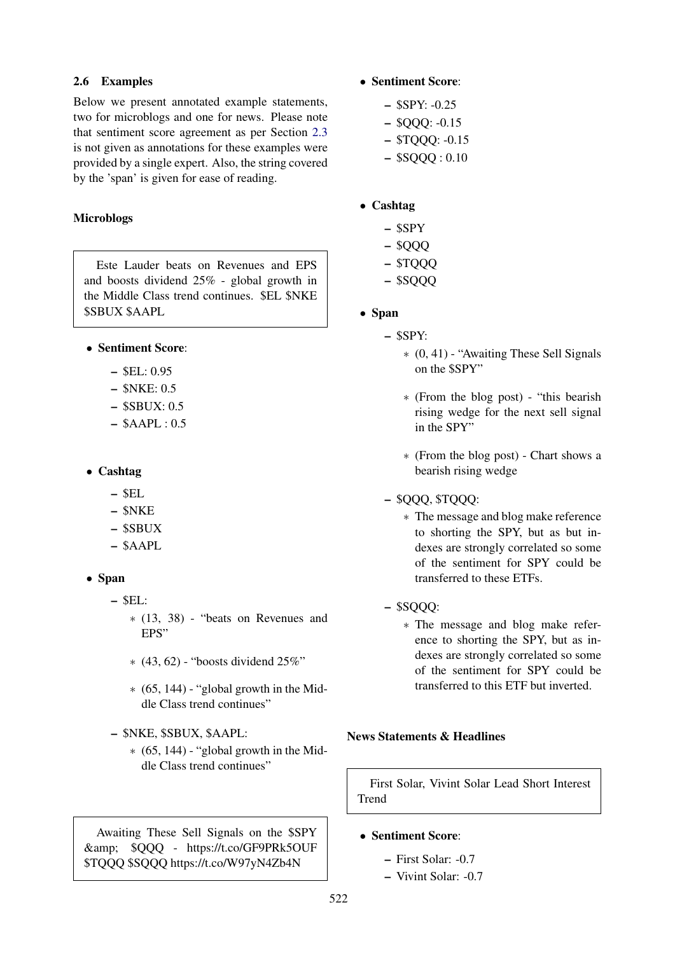# 2.6 Examples

Below we present annotated example statements, two for microblogs and one for news. Please note that sentiment score agreement as per Section 2.3 is not given as annotations for these examples were provided by a single expert. Also, the string covered by the 'span' is given for ease of reading.

# Microblogs

Este Lauder beats on Revenues and EPS and boosts dividend 25% - global growth in the Middle Class trend continues. \$EL \$NKE \$SBUX \$AAPL

- Sentiment Score:
	- \$EL: 0.95
	- \$NKE: 0.5
	- $-$  \$SBUX: 0.5
	- $-$  \$AAPL: 0.5
- Cashtag
	- $-$  SEL.
	- \$NKE
	- \$SBUX
	- \$AAPL
- Span
	- $-$  SEL:
		- ∗ (13, 38) "beats on Revenues and EPS"
		- ∗ (43, 62) "boosts dividend 25%"
		- $*(65, 144)$  "global growth in the Middle Class trend continues"
	- \$NKE, \$SBUX, \$AAPL:
		- $*(65, 144)$  "global growth in the Middle Class trend continues"

Awaiting These Sell Signals on the \$SPY & \$QQQ - https://t.co/GF9PRk5OUF \$TQQQ \$SQQQ https://t.co/W97yN4Zb4N

- Sentiment Score:
	- \$SPY: -0.25
	- \$QQQ: -0.15
	- \$TQQQ: -0.15
	- $-$  \$SQQQ : 0.10

# • Cashtag

- \$SPY
- \$QQQ
- \$TQQQ
- \$SQQQ
- Span
	- \$SPY:
		- ∗ (0, 41) "Awaiting These Sell Signals on the \$SPY"
		- ∗ (From the blog post) "this bearish rising wedge for the next sell signal in the SPY"
		- ∗ (From the blog post) Chart shows a bearish rising wedge

# – \$QQQ, \$TQQQ:

- ∗ The message and blog make reference to shorting the SPY, but as but indexes are strongly correlated so some of the sentiment for SPY could be transferred to these ETFs.
- \$SQQQ:
	- ∗ The message and blog make reference to shorting the SPY, but as indexes are strongly correlated so some of the sentiment for SPY could be transferred to this ETF but inverted.

# News Statements & Headlines

First Solar, Vivint Solar Lead Short Interest Trend

# • Sentiment Score:

- First Solar: -0.7
- Vivint Solar: -0.7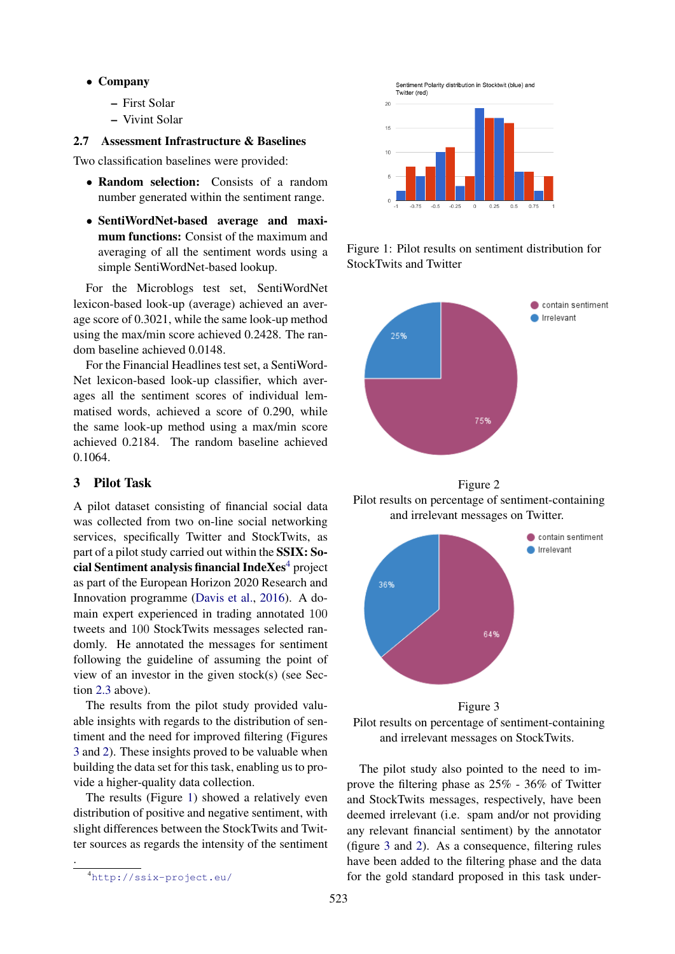- Company
	- First Solar
	- Vivint Solar

#### 2.7 Assessment Infrastructure & Baselines

Two classification baselines were provided:

- Random selection: Consists of a random number generated within the sentiment range.
- SentiWordNet-based average and maximum functions: Consist of the maximum and averaging of all the sentiment words using a simple SentiWordNet-based lookup.

For the Microblogs test set, SentiWordNet lexicon-based look-up (average) achieved an average score of 0.3021, while the same look-up method using the max/min score achieved 0.2428. The random baseline achieved 0.0148.

For the Financial Headlines test set, a SentiWord-Net lexicon-based look-up classifier, which averages all the sentiment scores of individual lemmatised words, achieved a score of 0.290, while the same look-up method using a max/min score achieved 0.2184. The random baseline achieved 0.1064.

## 3 Pilot Task

A pilot dataset consisting of financial social data was collected from two on-line social networking services, specifically Twitter and StockTwits, as part of a pilot study carried out within the SSIX: Social Sentiment analysis financial Inde $Xes<sup>4</sup>$  project as part of the European Horizon 2020 Research and Innovation programme (Davis et al., 2016). A domain expert experienced in trading annotated 100 tweets and 100 StockTwits messages selected randomly. He annotated the messages for sentiment following the guideline of assuming the point of view of an investor in the given stock(s) (see Section 2.3 above).

The results from the pilot study provided valuable insights with regards to the distribution of sentiment and the need for improved filtering (Figures 3 and 2). These insights proved to be valuable when building the data set for this task, enabling us to provide a higher-quality data collection.

The results (Figure 1) showed a relatively even distribution of positive and negative sentiment, with slight differences between the StockTwits and Twitter sources as regards the intensity of the sentiment

.



Figure 1: Pilot results on sentiment distribution for StockTwits and Twitter



Figure 2 Pilot results on percentage of sentiment-containing and irrelevant messages on Twitter.



Pilot results on percentage of sentiment-containing and irrelevant messages on StockTwits.

The pilot study also pointed to the need to improve the filtering phase as 25% - 36% of Twitter and StockTwits messages, respectively, have been deemed irrelevant (i.e. spam and/or not providing any relevant financial sentiment) by the annotator (figure 3 and 2). As a consequence, filtering rules have been added to the filtering phase and the data for the gold standard proposed in this task under-

<sup>4</sup>http://ssix-project.eu/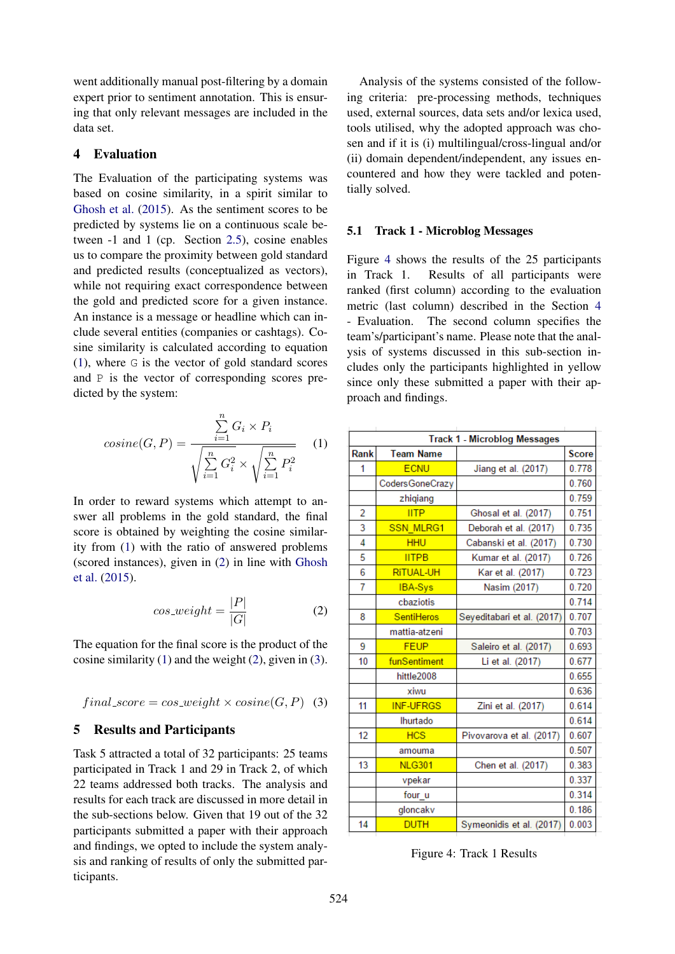went additionally manual post-filtering by a domain expert prior to sentiment annotation. This is ensuring that only relevant messages are included in the data set.

## 4 Evaluation

The Evaluation of the participating systems was based on cosine similarity, in a spirit similar to Ghosh et al. (2015). As the sentiment scores to be predicted by systems lie on a continuous scale between -1 and 1 (cp. Section 2.5), cosine enables us to compare the proximity between gold standard and predicted results (conceptualized as vectors), while not requiring exact correspondence between the gold and predicted score for a given instance. An instance is a message or headline which can include several entities (companies or cashtags). Cosine similarity is calculated according to equation (1), where G is the vector of gold standard scores and P is the vector of corresponding scores predicted by the system:

$$
cosine(G, P) = \frac{\sum_{i=1}^{n} G_i \times P_i}{\sqrt{\sum_{i=1}^{n} G_i^2} \times \sqrt{\sum_{i=1}^{n} P_i^2}}
$$
 (1)

In order to reward systems which attempt to answer all problems in the gold standard, the final score is obtained by weighting the cosine similarity from (1) with the ratio of answered problems (scored instances), given in (2) in line with Ghosh et al. (2015).

$$
cos\_weight = \frac{|P|}{|G|} \tag{2}
$$

The equation for the final score is the product of the cosine similarity  $(1)$  and the weight  $(2)$ , given in  $(3)$ .

$$
final\_score = cos\_weight \times cosine(G, P) \quad (3)
$$

## 5 Results and Participants

Task 5 attracted a total of 32 participants: 25 teams participated in Track 1 and 29 in Track 2, of which 22 teams addressed both tracks. The analysis and results for each track are discussed in more detail in the sub-sections below. Given that 19 out of the 32 participants submitted a paper with their approach and findings, we opted to include the system analysis and ranking of results of only the submitted participants.

Analysis of the systems consisted of the following criteria: pre-processing methods, techniques used, external sources, data sets and/or lexica used, tools utilised, why the adopted approach was chosen and if it is (i) multilingual/cross-lingual and/or (ii) domain dependent/independent, any issues encountered and how they were tackled and potentially solved.

#### 5.1 Track 1 - Microblog Messages

Figure 4 shows the results of the 25 participants in Track 1. Results of all participants were ranked (first column) according to the evaluation metric (last column) described in the Section 4 - Evaluation. The second column specifies the team's/participant's name. Please note that the analysis of systems discussed in this sub-section includes only the participants highlighted in yellow since only these submitted a paper with their approach and findings.

| <b>Track 1 - Microblog Messages</b> |                  |                            |              |  |
|-------------------------------------|------------------|----------------------------|--------------|--|
| Rank                                | <b>Team Name</b> |                            | <b>Score</b> |  |
| 1                                   | <b>ECNU</b>      | Jiang et al. (2017)        | 0.778        |  |
|                                     | Coders GoneCrazy |                            | 0.760        |  |
|                                     | zhiqiang         |                            | 0.759        |  |
| $\overline{2}$                      | <b>IITP</b>      | Ghosal et al. (2017)       | 0.751        |  |
| 3                                   | <b>SSN MLRG1</b> | Deborah et al. (2017)      | 0.735        |  |
| $\overline{4}$                      | <b>HHU</b>       | Cabanski et al. (2017)     | 0.730        |  |
| 5                                   | <b>IITPB</b>     | Kumar et al. (2017)        | 0.726        |  |
| 6                                   | <b>RITUAL-UH</b> | Kar et al. (2017)          | 0.723        |  |
| 7                                   | <b>IBA-Sys</b>   | Nasim (2017)               | 0.720        |  |
|                                     | cbaziotis        |                            | 0.714        |  |
| 8                                   | SentiHeros       | Seyeditabari et al. (2017) | 0.707        |  |
|                                     | mattia-atzeni    |                            | 0.703        |  |
| 9                                   | <b>FEUP</b>      | Saleiro et al. (2017)      | 0.693        |  |
| 10                                  | funSentiment     | Li et al. (2017)           | 0.677        |  |
|                                     | hittle2008       |                            | 0.655        |  |
|                                     | xiwu             |                            | 0.636        |  |
| 11                                  | <b>INF-UFRGS</b> | Zini et al. (2017)         | 0.614        |  |
|                                     | Ihurtado         |                            | 0.614        |  |
| 12                                  | <b>HCS</b>       | Pivovarova et al. (2017)   | 0.607        |  |
|                                     | amouma           |                            | 0.507        |  |
| 13                                  | <b>NLG301</b>    | Chen et al. (2017)         | 0.383        |  |
|                                     | vpekar           |                            | 0.337        |  |
|                                     | four u           |                            | 0.314        |  |
|                                     | gloncakv         |                            | 0.186        |  |
| 14                                  | <b>DUTH</b>      | Symeonidis et al. (2017)   | 0.003        |  |

Figure 4: Track 1 Results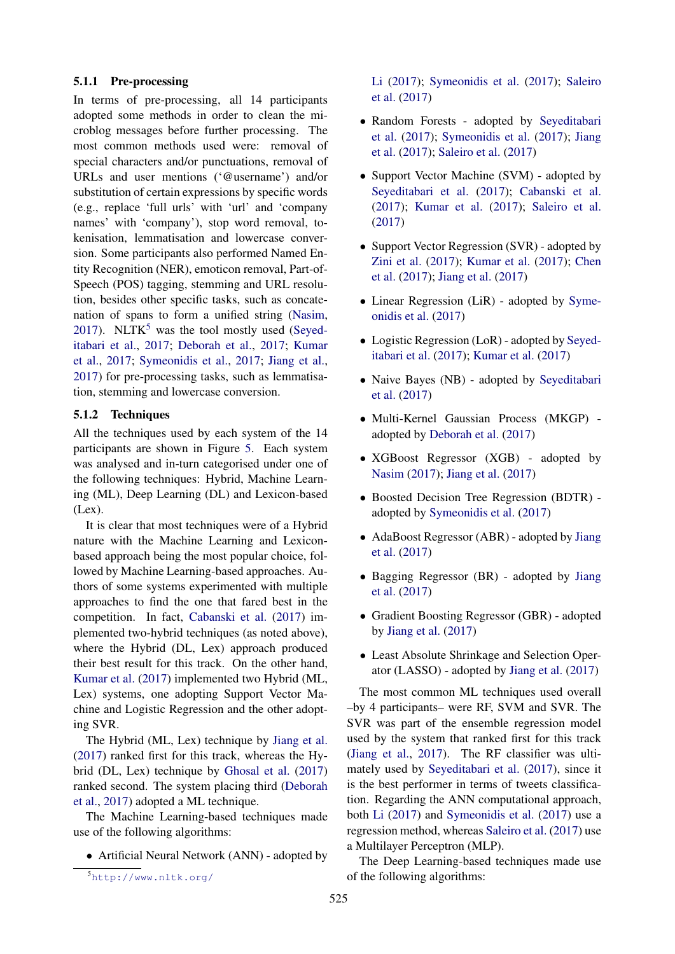### 5.1.1 Pre-processing

In terms of pre-processing, all 14 participants adopted some methods in order to clean the microblog messages before further processing. The most common methods used were: removal of special characters and/or punctuations, removal of URLs and user mentions ('@username') and/or substitution of certain expressions by specific words (e.g., replace 'full urls' with 'url' and 'company names' with 'company'), stop word removal, tokenisation, lemmatisation and lowercase conversion. Some participants also performed Named Entity Recognition (NER), emoticon removal, Part-of-Speech (POS) tagging, stemming and URL resolution, besides other specific tasks, such as concatenation of spans to form a unified string (Nasim, 2017). NLTK<sup>5</sup> was the tool mostly used (Seyeditabari et al., 2017; Deborah et al., 2017; Kumar et al., 2017; Symeonidis et al., 2017; Jiang et al., 2017) for pre-processing tasks, such as lemmatisation, stemming and lowercase conversion.

## 5.1.2 Techniques

All the techniques used by each system of the 14 participants are shown in Figure 5. Each system was analysed and in-turn categorised under one of the following techniques: Hybrid, Machine Learning (ML), Deep Learning (DL) and Lexicon-based (Lex).

It is clear that most techniques were of a Hybrid nature with the Machine Learning and Lexiconbased approach being the most popular choice, followed by Machine Learning-based approaches. Authors of some systems experimented with multiple approaches to find the one that fared best in the competition. In fact, Cabanski et al. (2017) implemented two-hybrid techniques (as noted above), where the Hybrid (DL, Lex) approach produced their best result for this track. On the other hand, Kumar et al. (2017) implemented two Hybrid (ML, Lex) systems, one adopting Support Vector Machine and Logistic Regression and the other adopting SVR.

The Hybrid (ML, Lex) technique by Jiang et al. (2017) ranked first for this track, whereas the Hybrid (DL, Lex) technique by Ghosal et al. (2017) ranked second. The system placing third (Deborah et al., 2017) adopted a ML technique.

The Machine Learning-based techniques made use of the following algorithms:

• Artificial Neural Network (ANN) - adopted by

Li (2017); Symeonidis et al. (2017); Saleiro et al. (2017)

- Random Forests adopted by Seyeditabari et al. (2017); Symeonidis et al. (2017); Jiang et al. (2017); Saleiro et al. (2017)
- Support Vector Machine (SVM) adopted by Seyeditabari et al. (2017); Cabanski et al. (2017); Kumar et al. (2017); Saleiro et al. (2017)
- Support Vector Regression (SVR) adopted by Zini et al. (2017); Kumar et al. (2017); Chen et al. (2017); Jiang et al. (2017)
- Linear Regression (LiR) adopted by Symeonidis et al. (2017)
- Logistic Regression (LoR) adopted by Seyeditabari et al. (2017); Kumar et al. (2017)
- Naive Bayes (NB) adopted by Seveditabari et al. (2017)
- Multi-Kernel Gaussian Process (MKGP) adopted by Deborah et al. (2017)
- XGBoost Regressor (XGB) adopted by Nasim (2017); Jiang et al. (2017)
- Boosted Decision Tree Regression (BDTR) adopted by Symeonidis et al. (2017)
- AdaBoost Regressor (ABR) adopted by Jiang et al. (2017)
- Bagging Regressor (BR) adopted by Jiang et al. (2017)
- Gradient Boosting Regressor (GBR) adopted by Jiang et al. (2017)
- Least Absolute Shrinkage and Selection Operator (LASSO) - adopted by Jiang et al. (2017)

The most common ML techniques used overall –by 4 participants– were RF, SVM and SVR. The SVR was part of the ensemble regression model used by the system that ranked first for this track (Jiang et al., 2017). The RF classifier was ultimately used by Seyeditabari et al. (2017), since it is the best performer in terms of tweets classification. Regarding the ANN computational approach, both Li (2017) and Symeonidis et al. (2017) use a regression method, whereas Saleiro et al. (2017) use a Multilayer Perceptron (MLP).

The Deep Learning-based techniques made use of the following algorithms:

<sup>5</sup>http://www.nltk.org/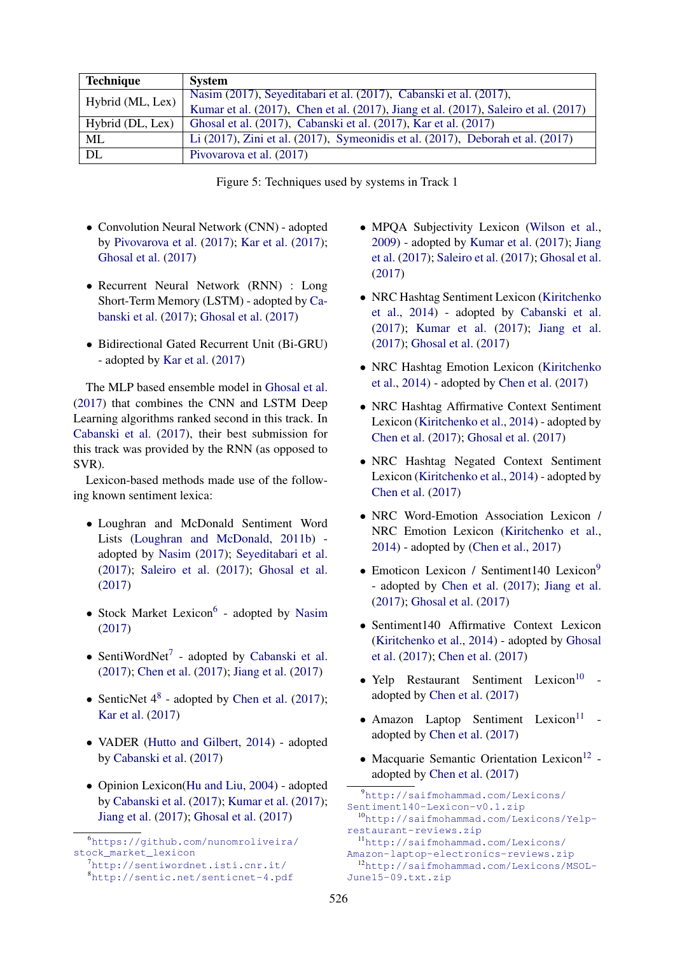| <b>Technique</b> | <b>System</b>                                                                       |
|------------------|-------------------------------------------------------------------------------------|
| Hybrid (ML, Lex) | Nasim (2017), Seyeditabari et al. (2017), Cabanski et al. (2017),                   |
|                  | Kumar et al. (2017), Chen et al. (2017), Jiang et al. (2017), Saleiro et al. (2017) |
| Hybrid (DL, Lex) | Ghosal et al. (2017), Cabanski et al. (2017), Kar et al. (2017)                     |
| ML               | Li (2017), Zini et al. (2017), Symeonidis et al. (2017), Deborah et al. (2017)      |
| DL               | Pivovarova et al. (2017)                                                            |

Figure 5: Techniques used by systems in Track 1

- Convolution Neural Network (CNN) adopted by Pivovarova et al. (2017); Kar et al. (2017); Ghosal et al. (2017)
- Recurrent Neural Network (RNN) : Long Short-Term Memory (LSTM) - adopted by Cabanski et al. (2017); Ghosal et al. (2017)
- Bidirectional Gated Recurrent Unit (Bi-GRU) - adopted by Kar et al. (2017)

The MLP based ensemble model in Ghosal et al. (2017) that combines the CNN and LSTM Deep Learning algorithms ranked second in this track. In Cabanski et al. (2017), their best submission for this track was provided by the RNN (as opposed to SVR).

Lexicon-based methods made use of the following known sentiment lexica:

- Loughran and McDonald Sentiment Word Lists (Loughran and McDonald, 2011b) adopted by Nasim (2017); Seyeditabari et al. (2017); Saleiro et al. (2017); Ghosal et al. (2017)
- Stock Market Lexicon<sup>6</sup> adopted by Nasim (2017)
- SentiWordNet<sup>7</sup> adopted by Cabanski et al. (2017); Chen et al. (2017); Jiang et al. (2017)
- SenticNet  $4^8$  adopted by Chen et al. (2017); Kar et al. (2017)
- VADER (Hutto and Gilbert, 2014) adopted by Cabanski et al. (2017)
- Opinion Lexicon(Hu and Liu, 2004) adopted by Cabanski et al. (2017); Kumar et al. (2017); Jiang et al. (2017); Ghosal et al. (2017)
- MPQA Subjectivity Lexicon (Wilson et al., 2009) - adopted by Kumar et al. (2017); Jiang et al. (2017); Saleiro et al. (2017); Ghosal et al. (2017)
- NRC Hashtag Sentiment Lexicon (Kiritchenko et al., 2014) - adopted by Cabanski et al. (2017); Kumar et al. (2017); Jiang et al. (2017); Ghosal et al. (2017)
- NRC Hashtag Emotion Lexicon (Kiritchenko et al., 2014) - adopted by Chen et al. (2017)
- NRC Hashtag Affirmative Context Sentiment Lexicon (Kiritchenko et al., 2014) - adopted by Chen et al. (2017); Ghosal et al. (2017)
- NRC Hashtag Negated Context Sentiment Lexicon (Kiritchenko et al., 2014) - adopted by Chen et al. (2017)
- NRC Word-Emotion Association Lexicon / NRC Emotion Lexicon (Kiritchenko et al., 2014) - adopted by (Chen et al., 2017)
- Emoticon Lexicon / Sentiment140 Lexicon<sup>9</sup> - adopted by Chen et al. (2017); Jiang et al. (2017); Ghosal et al. (2017)
- Sentiment140 Affirmative Context Lexicon (Kiritchenko et al., 2014) - adopted by Ghosal et al. (2017); Chen et al. (2017)
- Yelp Restaurant Sentiment Lexicon<sup>10</sup> adopted by Chen et al. (2017)
- $\bullet$  Amazon Laptop Sentiment Lexicon<sup>11</sup> adopted by Chen et al. (2017)
- $\bullet$  Macquarie Semantic Orientation Lexicon<sup>12</sup> adopted by Chen et al. (2017)

<sup>6</sup>https://github.com/nunomroliveira/ stock\_market\_lexicon

<sup>7</sup>http://sentiwordnet.isti.cnr.it/ <sup>8</sup>http://sentic.net/senticnet-4.pdf

<sup>9</sup>http://saifmohammad.com/Lexicons/ Sentiment140-Lexicon-v0.1.zip <sup>10</sup>http://saifmohammad.com/Lexicons/Yelprestaurant-reviews.zip

<sup>11</sup>http://saifmohammad.com/Lexicons/ Amazon-laptop-electronics-reviews.zip <sup>12</sup>http://saifmohammad.com/Lexicons/MSOL-June15-09.txt.zip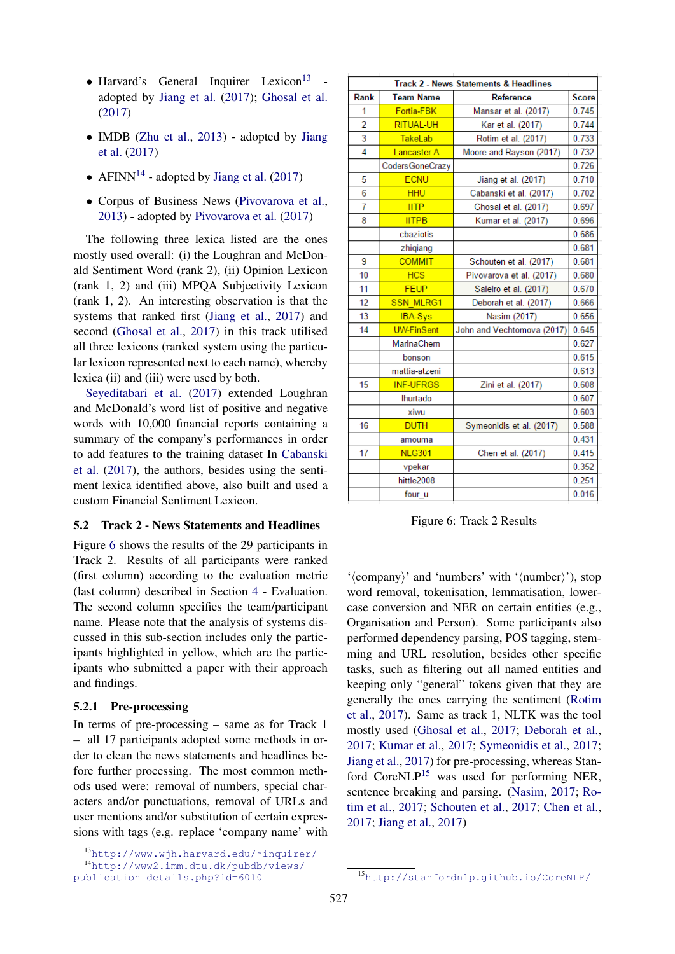- $\bullet$  Harvard's General Inquirer Lexicon<sup>13</sup> adopted by Jiang et al. (2017); Ghosal et al. (2017)
- IMDB (Zhu et al., 2013) adopted by Jiang et al. (2017)
- AFINN<sup>14</sup> adopted by Jiang et al. (2017)
- Corpus of Business News (Pivovarova et al., 2013) - adopted by Pivovarova et al. (2017)

The following three lexica listed are the ones mostly used overall: (i) the Loughran and McDonald Sentiment Word (rank 2), (ii) Opinion Lexicon (rank 1, 2) and (iii) MPQA Subjectivity Lexicon (rank 1, 2). An interesting observation is that the systems that ranked first (Jiang et al., 2017) and second (Ghosal et al., 2017) in this track utilised all three lexicons (ranked system using the particular lexicon represented next to each name), whereby lexica (ii) and (iii) were used by both.

Seyeditabari et al. (2017) extended Loughran and McDonald's word list of positive and negative words with 10,000 financial reports containing a summary of the company's performances in order to add features to the training dataset In Cabanski et al. (2017), the authors, besides using the sentiment lexica identified above, also built and used a custom Financial Sentiment Lexicon.

#### 5.2 Track 2 - News Statements and Headlines

Figure 6 shows the results of the 29 participants in Track 2. Results of all participants were ranked (first column) according to the evaluation metric (last column) described in Section 4 - Evaluation. The second column specifies the team/participant name. Please note that the analysis of systems discussed in this sub-section includes only the participants highlighted in yellow, which are the participants who submitted a paper with their approach and findings.

### 5.2.1 Pre-processing

In terms of pre-processing – same as for Track 1 – all 17 participants adopted some methods in order to clean the news statements and headlines before further processing. The most common methods used were: removal of numbers, special characters and/or punctuations, removal of URLs and user mentions and/or substitution of certain expressions with tags (e.g. replace 'company name' with

| <b>Track 2 - News Statements &amp; Headlines</b> |                   |                            |       |  |
|--------------------------------------------------|-------------------|----------------------------|-------|--|
| Rank                                             | <b>Team Name</b>  | <b>Reference</b>           | Score |  |
| 1                                                | Fortia-FBK        | Mansar et al. (2017)       | 0.745 |  |
| $\overline{2}$                                   | <b>RITUAL-UH</b>  | Kar et al. (2017)          | 0.744 |  |
| 3                                                | TakeLab           | Rotim et al. (2017)        | 0.733 |  |
| $\overline{A}$                                   | Lancaster A       | Moore and Rayson (2017)    | 0.732 |  |
|                                                  | Coders GoneCrazy  |                            | 0.726 |  |
| 5                                                | <b>ECNU</b>       | Jiang et al. (2017)        | 0.710 |  |
| 6                                                | <b>HHU</b>        | Cabanski et al. (2017)     | 0.702 |  |
| 7                                                | <b>IITP</b>       | Ghosal et al. (2017)       | 0.697 |  |
| 8                                                | <b>IITPB</b>      | Kumar et al. (2017)        | 0.696 |  |
|                                                  | cbaziotis         |                            | 0.686 |  |
|                                                  | zhiqiang          |                            | 0.681 |  |
| 9                                                | <b>COMMIT</b>     | Schouten et al. (2017)     | 0.681 |  |
| 10                                               | <b>HCS</b>        | Pivovarova et al. (2017)   | 0.680 |  |
| 11                                               | <b>FEUP</b>       | Saleiro et al. (2017)      | 0.670 |  |
| 12                                               | <b>SSN MLRG1</b>  | Deborah et al. (2017)      | 0.666 |  |
| 13                                               | <b>IBA-Sys</b>    | Nasim (2017)               | 0.656 |  |
| 14                                               | <b>UW-FinSent</b> | John and Vechtomova (2017) | 0.645 |  |
|                                                  | MarinaChern       |                            | 0.627 |  |
|                                                  | bonson            |                            | 0.615 |  |
|                                                  | mattia-atzeni     |                            | 0.613 |  |
| 15                                               | <b>INF-UFRGS</b>  | Zini et al. (2017)         | 0.608 |  |
|                                                  | Ihurtado          |                            | 0.607 |  |
|                                                  | xiwu              |                            | 0.603 |  |
| 16                                               | <b>DUTH</b>       | Symeonidis et al. (2017)   | 0.588 |  |
|                                                  | amouma            |                            | 0.431 |  |
| 17                                               | <b>NLG301</b>     | Chen et al. (2017)         | 0.415 |  |
|                                                  | vpekar            |                            | 0.352 |  |
|                                                  | hittle2008        |                            | 0.251 |  |
|                                                  | four u            |                            | 0.016 |  |

Figure 6: Track 2 Results

' $\langle$ company $\rangle$ ' and 'numbers' with ' $\langle$ number $\rangle$ '), stop word removal, tokenisation, lemmatisation, lowercase conversion and NER on certain entities (e.g., Organisation and Person). Some participants also performed dependency parsing, POS tagging, stemming and URL resolution, besides other specific tasks, such as filtering out all named entities and keeping only "general" tokens given that they are generally the ones carrying the sentiment (Rotim et al., 2017). Same as track 1, NLTK was the tool mostly used (Ghosal et al., 2017; Deborah et al., 2017; Kumar et al., 2017; Symeonidis et al., 2017; Jiang et al., 2017) for pre-processing, whereas Stanford CoreNLP<sup>15</sup> was used for performing NER, sentence breaking and parsing. (Nasim, 2017; Rotim et al., 2017; Schouten et al., 2017; Chen et al., 2017; Jiang et al., 2017)

<sup>13</sup>http://www.wjh.harvard.edu/˜inquirer/ <sup>14</sup>http://www2.imm.dtu.dk/pubdb/views/ publication\_details.php?id=6010

<sup>15</sup>http://stanfordnlp.github.io/CoreNLP/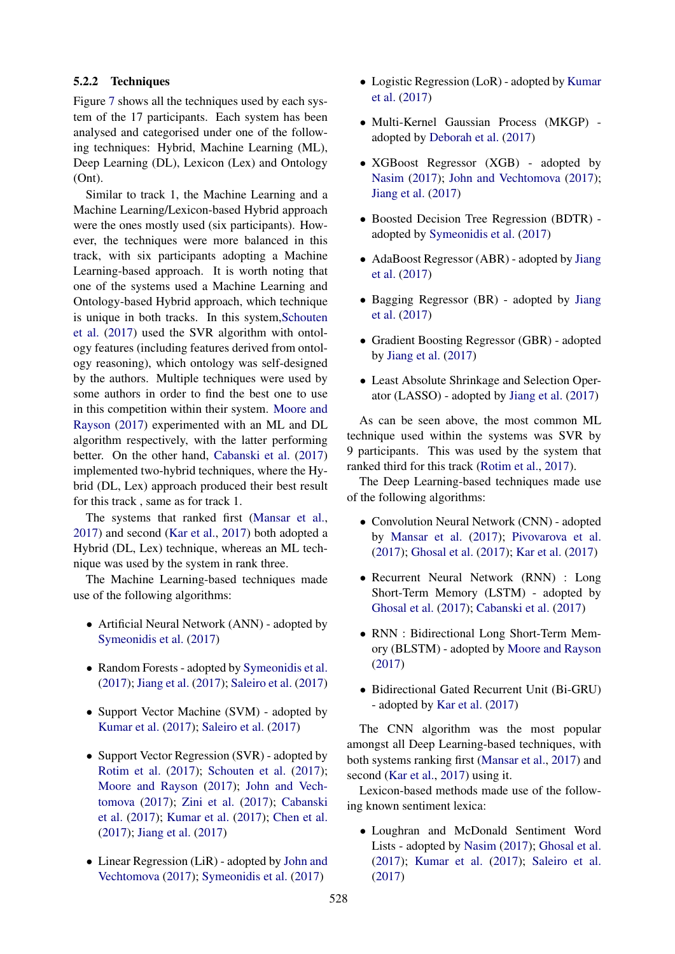### 5.2.2 Techniques

Figure 7 shows all the techniques used by each system of the 17 participants. Each system has been analysed and categorised under one of the following techniques: Hybrid, Machine Learning (ML), Deep Learning (DL), Lexicon (Lex) and Ontology (Ont).

Similar to track 1, the Machine Learning and a Machine Learning/Lexicon-based Hybrid approach were the ones mostly used (six participants). However, the techniques were more balanced in this track, with six participants adopting a Machine Learning-based approach. It is worth noting that one of the systems used a Machine Learning and Ontology-based Hybrid approach, which technique is unique in both tracks. In this system,Schouten et al. (2017) used the SVR algorithm with ontology features (including features derived from ontology reasoning), which ontology was self-designed by the authors. Multiple techniques were used by some authors in order to find the best one to use in this competition within their system. Moore and Rayson (2017) experimented with an ML and DL algorithm respectively, with the latter performing better. On the other hand, Cabanski et al. (2017) implemented two-hybrid techniques, where the Hybrid (DL, Lex) approach produced their best result for this track , same as for track 1.

The systems that ranked first (Mansar et al., 2017) and second (Kar et al., 2017) both adopted a Hybrid (DL, Lex) technique, whereas an ML technique was used by the system in rank three.

The Machine Learning-based techniques made use of the following algorithms:

- Artificial Neural Network (ANN) adopted by Symeonidis et al. (2017)
- Random Forests adopted by Symeonidis et al. (2017); Jiang et al. (2017); Saleiro et al. (2017)
- Support Vector Machine (SVM) adopted by Kumar et al. (2017); Saleiro et al. (2017)
- Support Vector Regression (SVR) adopted by Rotim et al. (2017); Schouten et al. (2017); Moore and Rayson (2017); John and Vechtomova (2017); Zini et al. (2017); Cabanski et al. (2017); Kumar et al. (2017); Chen et al. (2017); Jiang et al. (2017)
- Linear Regression (LiR) adopted by John and Vechtomova (2017); Symeonidis et al. (2017)
- Logistic Regression (LoR) adopted by Kumar et al. (2017)
- Multi-Kernel Gaussian Process (MKGP) adopted by Deborah et al. (2017)
- XGBoost Regressor (XGB) adopted by Nasim (2017); John and Vechtomova (2017); Jiang et al. (2017)
- Boosted Decision Tree Regression (BDTR) adopted by Symeonidis et al. (2017)
- AdaBoost Regressor (ABR) adopted by Jiang et al. (2017)
- Bagging Regressor (BR) adopted by Jiang et al. (2017)
- Gradient Boosting Regressor (GBR) adopted by Jiang et al. (2017)
- Least Absolute Shrinkage and Selection Operator (LASSO) - adopted by Jiang et al. (2017)

As can be seen above, the most common ML technique used within the systems was SVR by 9 participants. This was used by the system that ranked third for this track (Rotim et al., 2017).

The Deep Learning-based techniques made use of the following algorithms:

- Convolution Neural Network (CNN) adopted by Mansar et al. (2017); Pivovarova et al. (2017); Ghosal et al. (2017); Kar et al. (2017)
- Recurrent Neural Network (RNN) : Long Short-Term Memory (LSTM) - adopted by Ghosal et al. (2017); Cabanski et al. (2017)
- RNN : Bidirectional Long Short-Term Memory (BLSTM) - adopted by Moore and Rayson (2017)
- Bidirectional Gated Recurrent Unit (Bi-GRU) - adopted by Kar et al. (2017)

The CNN algorithm was the most popular amongst all Deep Learning-based techniques, with both systems ranking first (Mansar et al., 2017) and second (Kar et al., 2017) using it.

Lexicon-based methods made use of the following known sentiment lexica:

• Loughran and McDonald Sentiment Word Lists - adopted by Nasim (2017); Ghosal et al. (2017); Kumar et al. (2017); Saleiro et al. (2017)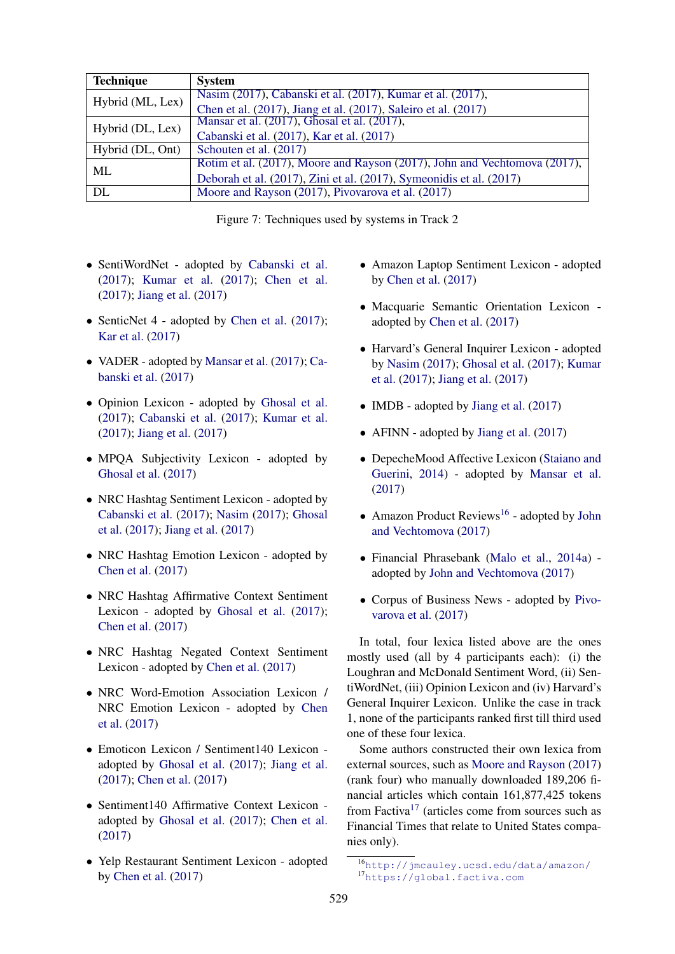| <b>Technique</b> | <b>System</b>                                                             |  |
|------------------|---------------------------------------------------------------------------|--|
| Hybrid (ML, Lex) | Nasim (2017), Cabanski et al. (2017), Kumar et al. (2017),                |  |
|                  | Chen et al. (2017), Jiang et al. (2017), Saleiro et al. (2017)            |  |
| Hybrid (DL, Lex) | Mansar et al. (2017), Ghosal et al. (2017),                               |  |
|                  | Cabanski et al. (2017), Kar et al. (2017)                                 |  |
| Hybrid (DL, Ont) | Schouten et al. (2017)                                                    |  |
| ML               | Rotim et al. (2017), Moore and Rayson (2017), John and Vechtomova (2017), |  |
|                  | Deborah et al. (2017), Zini et al. (2017), Symeonidis et al. (2017)       |  |
| DL               | Moore and Rayson (2017), Pivovarova et al. (2017)                         |  |

Figure 7: Techniques used by systems in Track 2

- SentiWordNet adopted by Cabanski et al. (2017); Kumar et al. (2017); Chen et al. (2017); Jiang et al. (2017)
- SenticNet 4 adopted by Chen et al. (2017); Kar et al. (2017)
- VADER adopted by Mansar et al. (2017); Cabanski et al. (2017)
- Opinion Lexicon adopted by Ghosal et al. (2017); Cabanski et al. (2017); Kumar et al. (2017); Jiang et al. (2017)
- MPQA Subjectivity Lexicon adopted by Ghosal et al. (2017)
- NRC Hashtag Sentiment Lexicon adopted by Cabanski et al. (2017); Nasim (2017); Ghosal et al. (2017); Jiang et al. (2017)
- NRC Hashtag Emotion Lexicon adopted by Chen et al. (2017)
- NRC Hashtag Affirmative Context Sentiment Lexicon - adopted by Ghosal et al. (2017); Chen et al. (2017)
- NRC Hashtag Negated Context Sentiment Lexicon - adopted by Chen et al. (2017)
- NRC Word-Emotion Association Lexicon / NRC Emotion Lexicon - adopted by Chen et al. (2017)
- Emoticon Lexicon / Sentiment140 Lexicon adopted by Ghosal et al. (2017); Jiang et al. (2017); Chen et al. (2017)
- Sentiment140 Affirmative Context Lexicon adopted by Ghosal et al. (2017); Chen et al. (2017)
- Yelp Restaurant Sentiment Lexicon adopted by Chen et al. (2017)
- Amazon Laptop Sentiment Lexicon adopted by Chen et al. (2017)
- Macquarie Semantic Orientation Lexicon adopted by Chen et al. (2017)
- Harvard's General Inquirer Lexicon adopted by Nasim (2017); Ghosal et al. (2017); Kumar et al. (2017); Jiang et al. (2017)
- IMDB adopted by Jiang et al. (2017)
- AFINN adopted by Jiang et al. (2017)
- DepecheMood Affective Lexicon (Staiano and Guerini, 2014) - adopted by Mansar et al. (2017)
- Amazon Product Reviews<sup>16</sup> adopted by John and Vechtomova (2017)
- Financial Phrasebank (Malo et al., 2014a) adopted by John and Vechtomova (2017)
- Corpus of Business News adopted by Pivovarova et al. (2017)

In total, four lexica listed above are the ones mostly used (all by 4 participants each): (i) the Loughran and McDonald Sentiment Word, (ii) SentiWordNet, (iii) Opinion Lexicon and (iv) Harvard's General Inquirer Lexicon. Unlike the case in track 1, none of the participants ranked first till third used one of these four lexica.

Some authors constructed their own lexica from external sources, such as Moore and Rayson (2017) (rank four) who manually downloaded 189,206 financial articles which contain 161,877,425 tokens from Factiva<sup>17</sup> (articles come from sources such as Financial Times that relate to United States companies only).

<sup>16</sup>http://jmcauley.ucsd.edu/data/amazon/ <sup>17</sup>https://global.factiva.com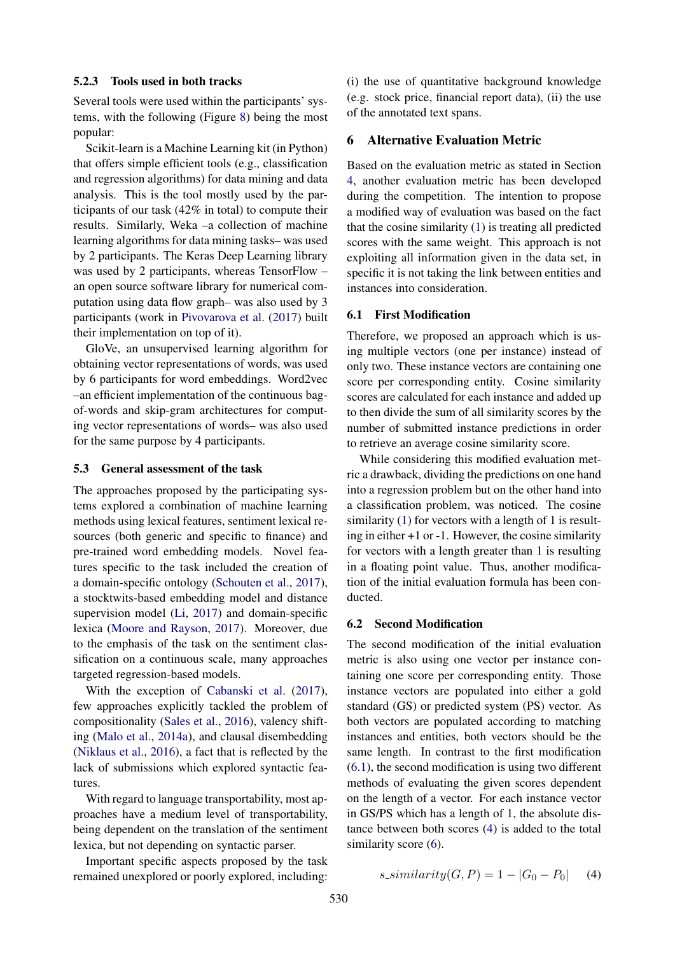#### 5.2.3 Tools used in both tracks

Several tools were used within the participants' systems, with the following (Figure 8) being the most popular:

Scikit-learn is a Machine Learning kit (in Python) that offers simple efficient tools (e.g., classification and regression algorithms) for data mining and data analysis. This is the tool mostly used by the participants of our task (42% in total) to compute their results. Similarly, Weka –a collection of machine learning algorithms for data mining tasks– was used by 2 participants. The Keras Deep Learning library was used by 2 participants, whereas TensorFlow – an open source software library for numerical computation using data flow graph– was also used by 3 participants (work in Pivovarova et al. (2017) built their implementation on top of it).

GloVe, an unsupervised learning algorithm for obtaining vector representations of words, was used by 6 participants for word embeddings. Word2vec –an efficient implementation of the continuous bagof-words and skip-gram architectures for computing vector representations of words– was also used for the same purpose by 4 participants.

#### 5.3 General assessment of the task

The approaches proposed by the participating systems explored a combination of machine learning methods using lexical features, sentiment lexical resources (both generic and specific to finance) and pre-trained word embedding models. Novel features specific to the task included the creation of a domain-specific ontology (Schouten et al., 2017), a stocktwits-based embedding model and distance supervision model (Li, 2017) and domain-specific lexica (Moore and Rayson, 2017). Moreover, due to the emphasis of the task on the sentiment classification on a continuous scale, many approaches targeted regression-based models.

With the exception of Cabanski et al. (2017), few approaches explicitly tackled the problem of compositionality (Sales et al., 2016), valency shifting (Malo et al., 2014a), and clausal disembedding (Niklaus et al., 2016), a fact that is reflected by the lack of submissions which explored syntactic features.

With regard to language transportability, most approaches have a medium level of transportability, being dependent on the translation of the sentiment lexica, but not depending on syntactic parser.

Important specific aspects proposed by the task remained unexplored or poorly explored, including:

(i) the use of quantitative background knowledge (e.g. stock price, financial report data), (ii) the use of the annotated text spans.

### 6 Alternative Evaluation Metric

Based on the evaluation metric as stated in Section 4, another evaluation metric has been developed during the competition. The intention to propose a modified way of evaluation was based on the fact that the cosine similarity (1) is treating all predicted scores with the same weight. This approach is not exploiting all information given in the data set, in specific it is not taking the link between entities and instances into consideration.

#### 6.1 First Modification

Therefore, we proposed an approach which is using multiple vectors (one per instance) instead of only two. These instance vectors are containing one score per corresponding entity. Cosine similarity scores are calculated for each instance and added up to then divide the sum of all similarity scores by the number of submitted instance predictions in order to retrieve an average cosine similarity score.

While considering this modified evaluation metric a drawback, dividing the predictions on one hand into a regression problem but on the other hand into a classification problem, was noticed. The cosine similarity (1) for vectors with a length of 1 is resulting in either +1 or -1. However, the cosine similarity for vectors with a length greater than 1 is resulting in a floating point value. Thus, another modification of the initial evaluation formula has been conducted.

#### 6.2 Second Modification

The second modification of the initial evaluation metric is also using one vector per instance containing one score per corresponding entity. Those instance vectors are populated into either a gold standard (GS) or predicted system (PS) vector. As both vectors are populated according to matching instances and entities, both vectors should be the same length. In contrast to the first modification (6.1), the second modification is using two different methods of evaluating the given scores dependent on the length of a vector. For each instance vector in GS/PS which has a length of 1, the absolute distance between both scores (4) is added to the total similarity score  $(6)$ .

$$
s\_similarity(G, P) = 1 - |G_0 - P_0| \quad (4)
$$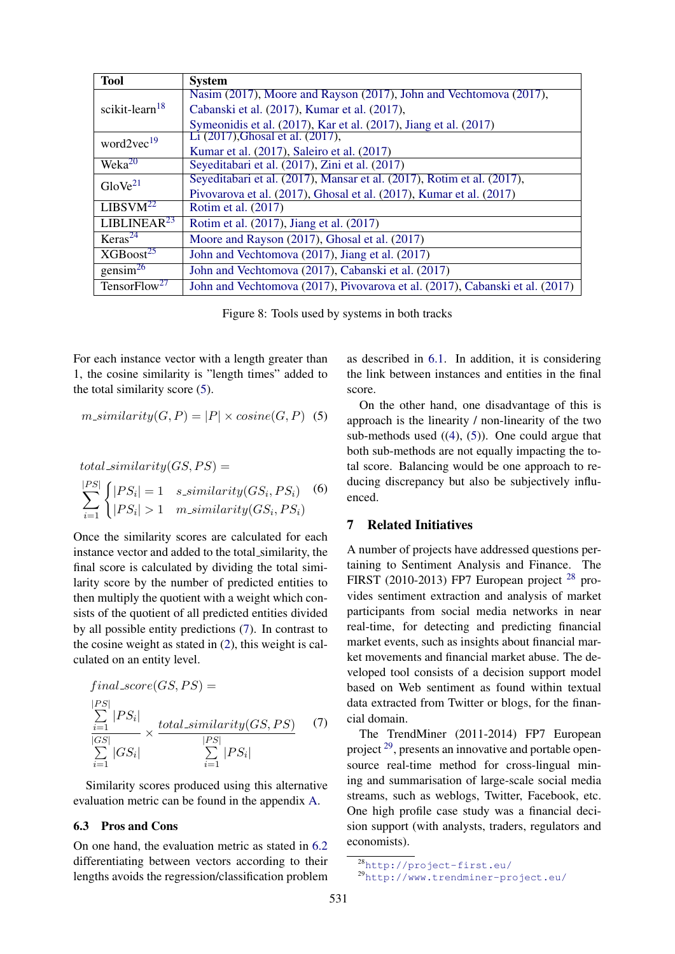| <b>Tool</b>                    | <b>System</b>                                                                |
|--------------------------------|------------------------------------------------------------------------------|
|                                | Nasim (2017), Moore and Rayson (2017), John and Vechtomova (2017),           |
| scikit-learn $18$              | Cabanski et al. (2017), Kumar et al. (2017),                                 |
|                                | Symeonidis et al. (2017), Kar et al. (2017), Jiang et al. (2017)             |
| word $2$ vec $^{19}$           | Li (2017), Ghosal et al. (2017),                                             |
|                                | Kumar et al. (2017), Saleiro et al. (2017)                                   |
| Wek <sub>a</sub> <sup>20</sup> | Seyeditabari et al. (2017), Zini et al. (2017)                               |
| $G$ lo Ve $^{21}$              | Seyeditabari et al. (2017), Mansar et al. (2017), Rotim et al. (2017),       |
|                                | Pivovarova et al. (2017), Ghosal et al. (2017), Kumar et al. (2017)          |
| LIBSVM <sup>22</sup>           | Rotim et al. (2017)                                                          |
| LIBLINEAR <sup>23</sup>        | Rotim et al. (2017), Jiang et al. (2017)                                     |
| Keras <sup>24</sup>            | Moore and Rayson (2017), Ghosal et al. (2017)                                |
| $XGB$ oost <sup>25</sup>       | John and Vechtomova (2017), Jiang et al. (2017)                              |
| gensim <sup>26</sup>           | John and Vechtomova (2017), Cabanski et al. (2017)                           |
| TensorFlow <sup>27</sup>       | John and Vechtomova (2017), Pivovarova et al. (2017), Cabanski et al. (2017) |

Figure 8: Tools used by systems in both tracks

For each instance vector with a length greater than 1, the cosine similarity is "length times" added to the total similarity score (5).

$$
m\_similarity(G, P) = |P| \times cosine(G, P) \quad (5)
$$

$$
total\_similarity(GS, PS) =
$$
  
\n
$$
\sum_{i=1}^{|PS|} \begin{cases} |PS_i| = 1 & s\_similarity(GS_i, PS_i) \\ |PS_i| > 1 & m\_similarity(GS_i, PS_i) \end{cases}
$$
 (6)

Once the similarity scores are calculated for each instance vector and added to the total similarity, the final score is calculated by dividing the total similarity score by the number of predicted entities to then multiply the quotient with a weight which consists of the quotient of all predicted entities divided by all possible entity predictions (7). In contrast to the cosine weight as stated in (2), this weight is calculated on an entity level.

$$
final_score(GS, PS) =
$$
\n
$$
\sum_{i=1}^{|PS|} |PS_i| \times \frac{total\_similarity(GS, PS)}{|PS|} \tag{7}
$$
\n
$$
\sum_{i=1}^{|GS|} |GS_i| \times \frac{|PS|}{\sum_{i=1}^{|PS|} |PS_i|}
$$

Similarity scores produced using this alternative evaluation metric can be found in the appendix A.

## 6.3 Pros and Cons

On one hand, the evaluation metric as stated in 6.2 differentiating between vectors according to their lengths avoids the regression/classification problem

as described in 6.1. In addition, it is considering the link between instances and entities in the final score.

On the other hand, one disadvantage of this is approach is the linearity / non-linearity of the two sub-methods used  $((4), (5))$ . One could argue that both sub-methods are not equally impacting the total score. Balancing would be one approach to reducing discrepancy but also be subjectively influenced.

#### 7 Related Initiatives

A number of projects have addressed questions pertaining to Sentiment Analysis and Finance. The FIRST (2010-2013) FP7 European project <sup>28</sup> provides sentiment extraction and analysis of market participants from social media networks in near real-time, for detecting and predicting financial market events, such as insights about financial market movements and financial market abuse. The developed tool consists of a decision support model based on Web sentiment as found within textual data extracted from Twitter or blogs, for the financial domain.

The TrendMiner (2011-2014) FP7 European project <sup>29</sup>, presents an innovative and portable opensource real-time method for cross-lingual mining and summarisation of large-scale social media streams, such as weblogs, Twitter, Facebook, etc. One high profile case study was a financial decision support (with analysts, traders, regulators and economists).

<sup>28</sup>http://project-first.eu/ <sup>29</sup>http://www.trendminer-project.eu/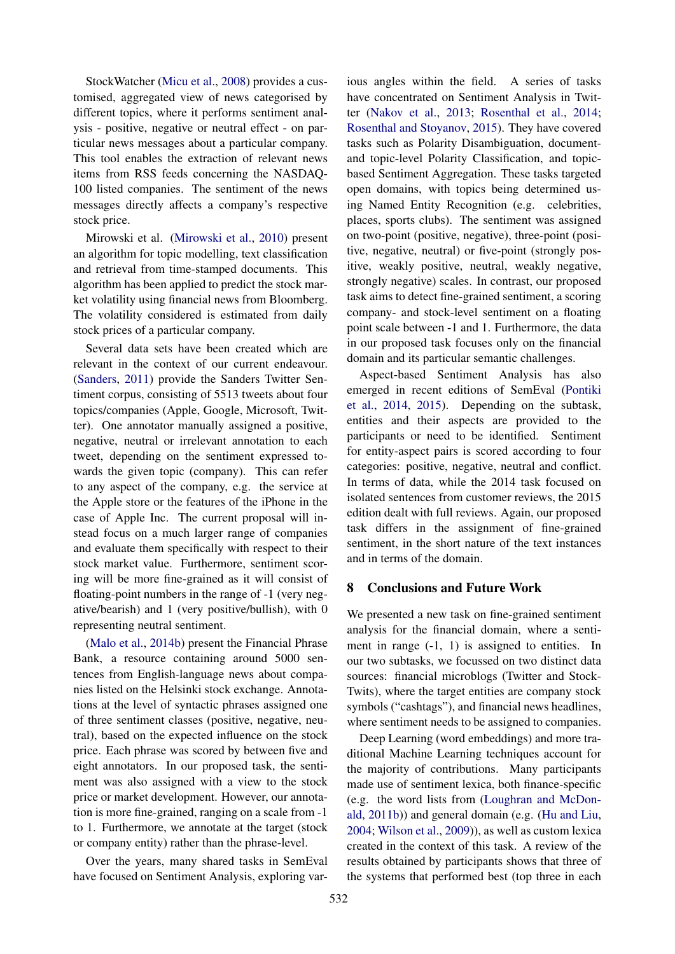StockWatcher (Micu et al., 2008) provides a customised, aggregated view of news categorised by different topics, where it performs sentiment analysis - positive, negative or neutral effect - on particular news messages about a particular company. This tool enables the extraction of relevant news items from RSS feeds concerning the NASDAQ-100 listed companies. The sentiment of the news messages directly affects a company's respective stock price.

Mirowski et al. (Mirowski et al., 2010) present an algorithm for topic modelling, text classification and retrieval from time-stamped documents. This algorithm has been applied to predict the stock market volatility using financial news from Bloomberg. The volatility considered is estimated from daily stock prices of a particular company.

Several data sets have been created which are relevant in the context of our current endeavour. (Sanders, 2011) provide the Sanders Twitter Sentiment corpus, consisting of 5513 tweets about four topics/companies (Apple, Google, Microsoft, Twitter). One annotator manually assigned a positive, negative, neutral or irrelevant annotation to each tweet, depending on the sentiment expressed towards the given topic (company). This can refer to any aspect of the company, e.g. the service at the Apple store or the features of the iPhone in the case of Apple Inc. The current proposal will instead focus on a much larger range of companies and evaluate them specifically with respect to their stock market value. Furthermore, sentiment scoring will be more fine-grained as it will consist of floating-point numbers in the range of -1 (very negative/bearish) and 1 (very positive/bullish), with 0 representing neutral sentiment.

(Malo et al., 2014b) present the Financial Phrase Bank, a resource containing around 5000 sentences from English-language news about companies listed on the Helsinki stock exchange. Annotations at the level of syntactic phrases assigned one of three sentiment classes (positive, negative, neutral), based on the expected influence on the stock price. Each phrase was scored by between five and eight annotators. In our proposed task, the sentiment was also assigned with a view to the stock price or market development. However, our annotation is more fine-grained, ranging on a scale from -1 to 1. Furthermore, we annotate at the target (stock or company entity) rather than the phrase-level.

Over the years, many shared tasks in SemEval have focused on Sentiment Analysis, exploring various angles within the field. A series of tasks have concentrated on Sentiment Analysis in Twitter (Nakov et al., 2013; Rosenthal et al., 2014; Rosenthal and Stoyanov, 2015). They have covered tasks such as Polarity Disambiguation, documentand topic-level Polarity Classification, and topicbased Sentiment Aggregation. These tasks targeted open domains, with topics being determined using Named Entity Recognition (e.g. celebrities, places, sports clubs). The sentiment was assigned on two-point (positive, negative), three-point (positive, negative, neutral) or five-point (strongly positive, weakly positive, neutral, weakly negative, strongly negative) scales. In contrast, our proposed task aims to detect fine-grained sentiment, a scoring company- and stock-level sentiment on a floating point scale between -1 and 1. Furthermore, the data in our proposed task focuses only on the financial domain and its particular semantic challenges.

Aspect-based Sentiment Analysis has also emerged in recent editions of SemEval (Pontiki et al., 2014, 2015). Depending on the subtask, entities and their aspects are provided to the participants or need to be identified. Sentiment for entity-aspect pairs is scored according to four categories: positive, negative, neutral and conflict. In terms of data, while the 2014 task focused on isolated sentences from customer reviews, the 2015 edition dealt with full reviews. Again, our proposed task differs in the assignment of fine-grained sentiment, in the short nature of the text instances and in terms of the domain.

#### 8 Conclusions and Future Work

We presented a new task on fine-grained sentiment analysis for the financial domain, where a sentiment in range (-1, 1) is assigned to entities. In our two subtasks, we focussed on two distinct data sources: financial microblogs (Twitter and Stock-Twits), where the target entities are company stock symbols ("cashtags"), and financial news headlines, where sentiment needs to be assigned to companies.

Deep Learning (word embeddings) and more traditional Machine Learning techniques account for the majority of contributions. Many participants made use of sentiment lexica, both finance-specific (e.g. the word lists from (Loughran and McDonald, 2011b)) and general domain (e.g. (Hu and Liu, 2004; Wilson et al., 2009)), as well as custom lexica created in the context of this task. A review of the results obtained by participants shows that three of the systems that performed best (top three in each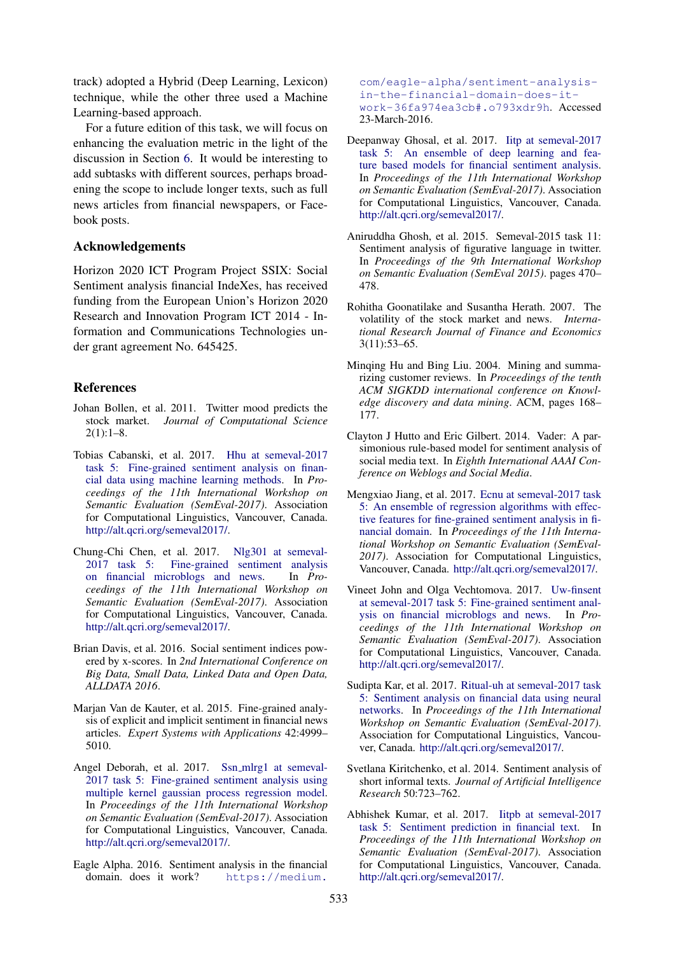track) adopted a Hybrid (Deep Learning, Lexicon) technique, while the other three used a Machine Learning-based approach.

For a future edition of this task, we will focus on enhancing the evaluation metric in the light of the discussion in Section 6. It would be interesting to add subtasks with different sources, perhaps broadening the scope to include longer texts, such as full news articles from financial newspapers, or Facebook posts.

### Acknowledgements

Horizon 2020 ICT Program Project SSIX: Social Sentiment analysis financial IndeXes, has received funding from the European Union's Horizon 2020 Research and Innovation Program ICT 2014 - Information and Communications Technologies under grant agreement No. 645425.

#### References

- Johan Bollen, et al. 2011. Twitter mood predicts the stock market. *Journal of Computational Science*  $2(1):1-8.$
- Tobias Cabanski, et al. 2017. Hhu at semeval-2017 task 5: Fine-grained sentiment analysis on financial data using machine learning methods. In *Proceedings of the 11th International Workshop on Semantic Evaluation (SemEval-2017)*. Association for Computational Linguistics, Vancouver, Canada. http://alt.qcri.org/semeval2017/.
- Chung-Chi Chen, et al. 2017. Nlg301 at semeval-<br>2017 task 5: Fine-grained sentiment analysis Fine-grained sentiment analysis on financial microblogs and news. In *Proceedings of the 11th International Workshop on Semantic Evaluation (SemEval-2017)*. Association for Computational Linguistics, Vancouver, Canada. http://alt.qcri.org/semeval2017/.
- Brian Davis, et al. 2016. Social sentiment indices powered by x-scores. In *2nd International Conference on Big Data, Small Data, Linked Data and Open Data, ALLDATA 2016*.
- Marjan Van de Kauter, et al. 2015. Fine-grained analysis of explicit and implicit sentiment in financial news articles. *Expert Systems with Applications* 42:4999– 5010.
- Angel Deborah, et al. 2017. Ssn\_mlrg1 at semeval-2017 task 5: Fine-grained sentiment analysis using multiple kernel gaussian process regression model. In *Proceedings of the 11th International Workshop on Semantic Evaluation (SemEval-2017)*. Association for Computational Linguistics, Vancouver, Canada. http://alt.qcri.org/semeval2017/.
- Eagle Alpha. 2016. Sentiment analysis in the financial domain. does it work? https://medium.

com/eagle-alpha/sentiment-analysisin-the-financial-domain-does-itwork-36fa974ea3cb#.o793xdr9h. Accessed 23-March-2016.

- Deepanway Ghosal, et al. 2017. Iitp at semeval-2017 task 5: An ensemble of deep learning and feature based models for financial sentiment analysis. In *Proceedings of the 11th International Workshop on Semantic Evaluation (SemEval-2017)*. Association for Computational Linguistics, Vancouver, Canada. http://alt.qcri.org/semeval2017/.
- Aniruddha Ghosh, et al. 2015. Semeval-2015 task 11: Sentiment analysis of figurative language in twitter. In *Proceedings of the 9th International Workshop on Semantic Evaluation (SemEval 2015)*. pages 470– 478.
- Rohitha Goonatilake and Susantha Herath. 2007. The volatility of the stock market and news. *International Research Journal of Finance and Economics* 3(11):53–65.
- Minqing Hu and Bing Liu. 2004. Mining and summarizing customer reviews. In *Proceedings of the tenth ACM SIGKDD international conference on Knowledge discovery and data mining*. ACM, pages 168– 177.
- Clayton J Hutto and Eric Gilbert. 2014. Vader: A parsimonious rule-based model for sentiment analysis of social media text. In *Eighth International AAAI Conference on Weblogs and Social Media*.
- Mengxiao Jiang, et al. 2017. Ecnu at semeval-2017 task 5: An ensemble of regression algorithms with effective features for fine-grained sentiment analysis in financial domain. In *Proceedings of the 11th International Workshop on Semantic Evaluation (SemEval-2017)*. Association for Computational Linguistics, Vancouver, Canada. http://alt.qcri.org/semeval2017/.
- Vineet John and Olga Vechtomova. 2017. Uw-finsent at semeval-2017 task 5: Fine-grained sentiment analysis on financial microblogs and news. In *Proceedings of the 11th International Workshop on Semantic Evaluation (SemEval-2017)*. Association for Computational Linguistics, Vancouver, Canada. http://alt.qcri.org/semeval2017/.
- Sudipta Kar, et al. 2017. Ritual-uh at semeval-2017 task 5: Sentiment analysis on financial data using neural networks. In *Proceedings of the 11th International Workshop on Semantic Evaluation (SemEval-2017)*. Association for Computational Linguistics, Vancouver, Canada. http://alt.qcri.org/semeval2017/.
- Svetlana Kiritchenko, et al. 2014. Sentiment analysis of short informal texts. *Journal of Artificial Intelligence Research* 50:723–762.
- Abhishek Kumar, et al. 2017. Iitpb at semeval-2017 task 5: Sentiment prediction in financial text. In *Proceedings of the 11th International Workshop on Semantic Evaluation (SemEval-2017)*. Association for Computational Linguistics, Vancouver, Canada. http://alt.qcri.org/semeval2017/.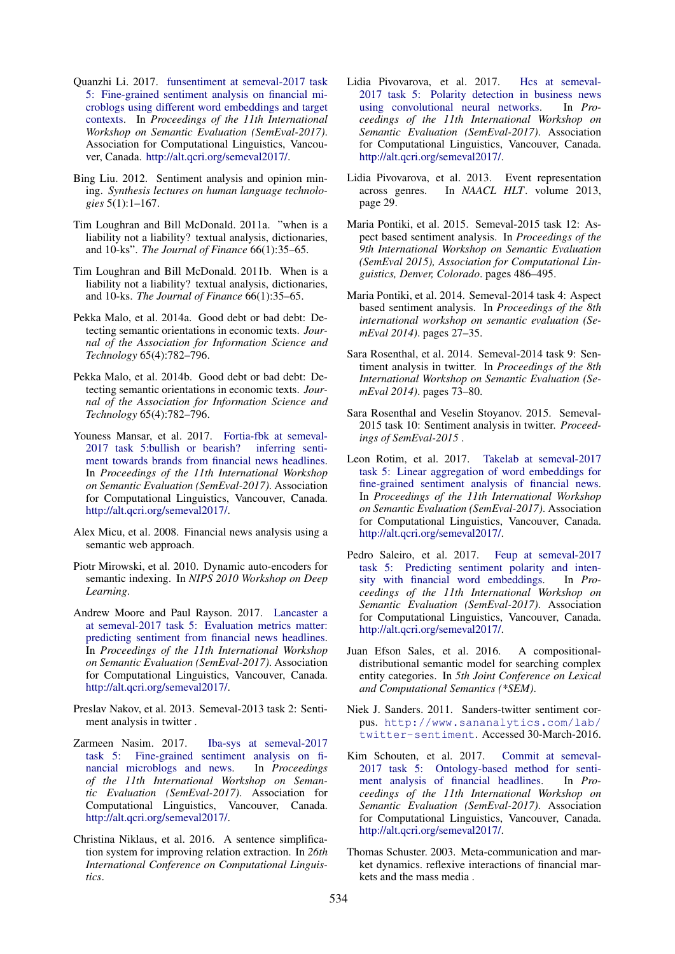- Quanzhi Li. 2017. funsentiment at semeval-2017 task 5: Fine-grained sentiment analysis on financial microblogs using different word embeddings and target contexts. In *Proceedings of the 11th International Workshop on Semantic Evaluation (SemEval-2017)*. Association for Computational Linguistics, Vancouver, Canada. http://alt.qcri.org/semeval2017/.
- Bing Liu. 2012. Sentiment analysis and opinion mining. *Synthesis lectures on human language technologies* 5(1):1–167.
- Tim Loughran and Bill McDonald. 2011a. "when is a liability not a liability? textual analysis, dictionaries, and 10-ks". *The Journal of Finance* 66(1):35–65.
- Tim Loughran and Bill McDonald. 2011b. When is a liability not a liability? textual analysis, dictionaries, and 10-ks. *The Journal of Finance* 66(1):35–65.
- Pekka Malo, et al. 2014a. Good debt or bad debt: Detecting semantic orientations in economic texts. *Journal of the Association for Information Science and Technology* 65(4):782–796.
- Pekka Malo, et al. 2014b. Good debt or bad debt: Detecting semantic orientations in economic texts. *Journal of the Association for Information Science and Technology* 65(4):782–796.
- Youness Mansar, et al. 2017. Fortia-fbk at semeval-2017 task 5:bullish or bearish? inferring sentiment towards brands from financial news headlines. In *Proceedings of the 11th International Workshop on Semantic Evaluation (SemEval-2017)*. Association for Computational Linguistics, Vancouver, Canada. http://alt.qcri.org/semeval2017/.
- Alex Micu, et al. 2008. Financial news analysis using a semantic web approach.
- Piotr Mirowski, et al. 2010. Dynamic auto-encoders for semantic indexing. In *NIPS 2010 Workshop on Deep Learning*.
- Andrew Moore and Paul Rayson. 2017. Lancaster a at semeval-2017 task 5: Evaluation metrics matter: predicting sentiment from financial news headlines. In *Proceedings of the 11th International Workshop on Semantic Evaluation (SemEval-2017)*. Association for Computational Linguistics, Vancouver, Canada. http://alt.qcri.org/semeval2017/.
- Preslav Nakov, et al. 2013. Semeval-2013 task 2: Sentiment analysis in twitter .
- Zarmeen Nasim. 2017. Iba-sys at semeval-2017 task 5: Fine-grained sentiment analysis on financial microblogs and news. In *Proceedings of the 11th International Workshop on Semantic Evaluation (SemEval-2017)*. Association for Computational Linguistics, Vancouver, Canada. http://alt.qcri.org/semeval2017/.
- Christina Niklaus, et al. 2016. A sentence simplification system for improving relation extraction. In *26th International Conference on Computational Linguistics*.
- Lidia Pivovarova, et al. 2017. Hcs at semeval-2017 task 5: Polarity detection in business news using convolutional neural networks. In *Proceedings of the 11th International Workshop on Semantic Evaluation (SemEval-2017)*. Association for Computational Linguistics, Vancouver, Canada. http://alt.qcri.org/semeval2017/.
- Lidia Pivovarova, et al. 2013. Event representation across genres. In *NAACL HLT*. volume 2013, page 29.
- Maria Pontiki, et al. 2015. Semeval-2015 task 12: Aspect based sentiment analysis. In *Proceedings of the 9th International Workshop on Semantic Evaluation (SemEval 2015), Association for Computational Linguistics, Denver, Colorado*. pages 486–495.
- Maria Pontiki, et al. 2014. Semeval-2014 task 4: Aspect based sentiment analysis. In *Proceedings of the 8th international workshop on semantic evaluation (SemEval 2014)*. pages 27–35.
- Sara Rosenthal, et al. 2014. Semeval-2014 task 9: Sentiment analysis in twitter. In *Proceedings of the 8th International Workshop on Semantic Evaluation (SemEval 2014)*. pages 73–80.
- Sara Rosenthal and Veselin Stoyanov. 2015. Semeval-2015 task 10: Sentiment analysis in twitter. *Proceedings of SemEval-2015* .
- Leon Rotim, et al. 2017. Takelab at semeval-2017 task 5: Linear aggregation of word embeddings for fine-grained sentiment analysis of financial news. In *Proceedings of the 11th International Workshop on Semantic Evaluation (SemEval-2017)*. Association for Computational Linguistics, Vancouver, Canada. http://alt.qcri.org/semeval2017/.
- Pedro Saleiro, et al. 2017. Feup at semeval-2017 task 5: Predicting sentiment polarity and intensity with financial word embeddings. In *Proceedings of the 11th International Workshop on Semantic Evaluation (SemEval-2017)*. Association for Computational Linguistics, Vancouver, Canada. http://alt.qcri.org/semeval2017/.
- Juan Efson Sales, et al. 2016. A compositionaldistributional semantic model for searching complex entity categories. In *5th Joint Conference on Lexical and Computational Semantics (\*SEM)*.
- Niek J. Sanders. 2011. Sanders-twitter sentiment corpus. http://www.sananalytics.com/lab/ twitter-sentiment. Accessed 30-March-2016.
- Kim Schouten, et al. 2017. Commit at semeval-2017 task 5: Ontology-based method for sentiment analysis of financial headlines. In *Proceedings of the 11th International Workshop on Semantic Evaluation (SemEval-2017)*. Association for Computational Linguistics, Vancouver, Canada. http://alt.qcri.org/semeval2017/.
- Thomas Schuster. 2003. Meta-communication and market dynamics. reflexive interactions of financial markets and the mass media .